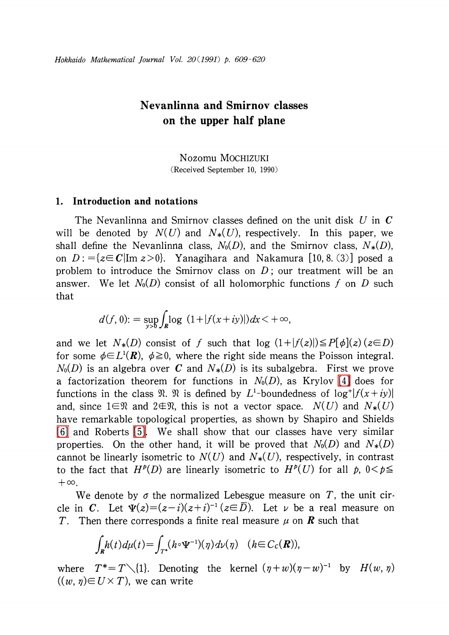# Nevanlinna and Smirnov classes on the upper half plane

Nozomu MOCHIZUKI (Received September 10, 1990)

### 1. Introduction and notations

The Nevanlinna and Smirnov classes defined on the unit disk  $U$  in  $C$ will be denoted by  $N(U)$  and  $N_{*}(U)$ , respectively. In this paper, we shall define the Nevanlinna class,  $N_{0}(D)$ , and the Smirnov class,  $N_{*}(D)$ , on  $D:=\{z\in C|{\rm Im}\ z>0\}$ . Yanagihara and Nakamura [10, 8. (3)] posed a problem to introduce the Smirnov class on  $D$ ; our treatment will be an answer. We let  $N_{0}(D)$  consist of all holomorphic functions f on D such that

$$
d(f, 0) := \sup_{y>0} \int_{R} \log (1 + |f(x+iy)|) dx < +\infty,
$$

and we let  $N_{*}(D)$  consist of f such that  $log (1+|f(z)|) \leq P[\phi](z)$  ( $z\in D$ ) for some  $\phi{\in}L^{1}(\boldsymbol{R}),$   $\phi{\geq}0,$  where the right side means the Poisson integral.  $N_{0}(D)$  is an algebra over C and  $N_{*}(D)$  is its subalgebra. First we prove a factorization theorem for functions in  $N_{0}(D)$ , as Krylov [\[4\]](#page-11-0) does for functions in the class  $\mathfrak{R}. \mathfrak{R}$  is defined by  $L^{1}$ -boundedness of  $\log^{+}|f(x+iy)|$ and, since  $1\mathfrak{\in \mathfrak{R}}$  and  $2\mathfrak{\in \mathfrak{R}}$ , this is not a vector space.  $N(U)$  and  $N_{*}(U)$ have remarkable topological properties, as shown by Shapiro and Shields [\[6\]](#page-11-1) and Roberts [\[5\].](#page-11-2) We shall show that our classes have very similar properties. On the other hand, it will be proved that  $N_{0}(D)$  and  $N_{*}(D)$ cannot be linearly isometric to  $N(U)$  and  $N_{*}(U)$ , respectively, in contrast to the fact that  $H^{p}(D)$  are linearly isometric to  $H^{p}(U)$  for all p,  $0<\rho\leq$  $+\infty.$ 

We denote by  $\sigma$  the normalized Lebesgue measure on T, the unit circle in C. Let  $\Psi(z)=(z-i)(z+i)^{-1}(z\in\overline{D})$ . Let  $\nu$  be a real measure on T. Then there corresponds a finite real measure  $\mu$  on **R** such that

$$
\int_{\mathbf{R}} h(t) d\mu(t) = \int_{T^*} (h \circ \Psi^{-1})(\eta) d\nu(\eta) \quad (h \in C_c(\mathbf{R})),
$$

where  $T^{*}\!\!=\!T\diagdown \{1\}$ . Denoting the kernel  $(\eta+w)(\eta-w)^{-1}$  by  $H(w, \, \eta)$  $((w, \eta) \in U \times T)$ , we can write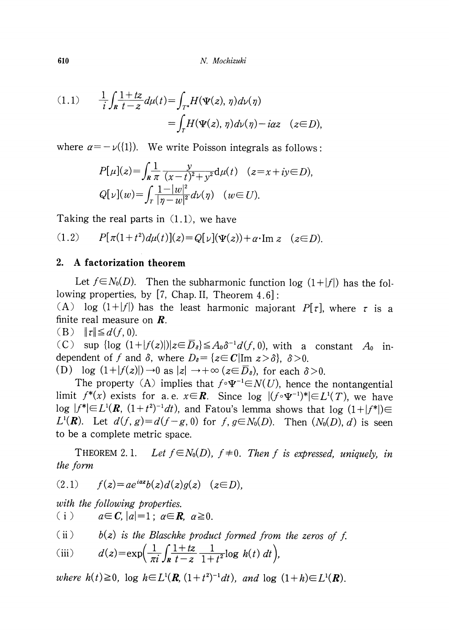610 N. Mochizuki

$$
(1.1) \qquad \frac{1}{i} \int_{\mathbf{R}} \frac{1+tz}{t-z} d\mu(t) = \int_{T^*} H(\Psi(z), \eta) d\nu(\eta)
$$

$$
= \int_T H(\Psi(z), \eta) d\nu(\eta) - i\alpha z \quad (z \in D),
$$

where  $\alpha=-\nu(\{1\}).$  We write Poisson integrals as follows:

$$
P[\mu](z) = \int_{R} \frac{1}{\pi} \frac{y}{(x-t)^2 + y^2} d\mu(t) \quad (z = x + iy \in D),
$$
  
 
$$
Q[\nu](w) = \int_{T} \frac{1 - |w|^2}{|\eta - w|^2} d\nu(\eta) \quad (w \in U).
$$

Taking the real parts in  $(1.1)$ , we have

(1.2)  $P[\pi(1+t^{2})d\mu(t)](z)=Q[\nu](\Psi(z))+\alpha\cdot{\rm Im}\ z \quad (z\in D) .$ 

## 2. A factorization theorem

Let  $f\in N_{0}(D)$ . Then the subharmonic function log  $(1+|f|)$  has the following properties, by [7, Chap. II, Theorem 4.6] :

(A) log  $(1+|f|)$  has the least harmonic majorant  $P[\tau]$ , where  $\tau$  is a finite real measure on *.* 

 $(B)$   $\|\tau\| \leq d(f, 0).$ 

(C) sup  $\{\log (1+|f(z)|)|z \in \overline{D}_{\delta} \} \leq A_{0}\delta^{-1}d(f, 0)$ , with a constant  $A_{0}$  independent of f and  $\delta$ , where  $D_{\delta}=\{z\in C|{\rm Im}\; z>\delta\}$ ,  $\delta>0$ .

(D)  $\log (1+|f(z)|) \rightarrow 0$  as  $|z| \rightarrow + \infty (z \in \overline{D}_{s})$ , for each  $\delta > 0$ .

The property (A) implies that  $f\circ\Psi^{-1}\in N(U)$ , hence the nontangential limit  $f^{*}(x)$  exists for a.e.  $x{\in}{{\bm R}}$ . Since log  $|(f{\circ}\Psi^{-1})^{*}|\!\!\in\! L^{1}(T),$  we have  $\log\;|f^{*}|\!\!\in\! L^{1}(\boldsymbol{R},\; (1+t^{2})^{-1}dt),$  and Fatou's lemma shows that  $\log\;(1\!+\!|f^{*}|)\!\!\in\!$  $L^{1}(\mathbf{R})$ . Let  $d(f, g)=d(f-g, 0)$  for  $f, g\in N_{0}(D)$ . Then  $(N_{0}(D), d)$  is seen to be a complete metric space.

<span id="page-1-0"></span>THEOREM 2.1. Let  $f \in N_{0}(D)$ ,  $f \neq 0$ . Then f is expressed, uniquely, in the form

$$
(2.1) \qquad f(z) = ae^{iaz}b(z)d(z)g(z) \quad (z \in D),
$$

with the following properties.

(i)  $a \in C, |a|=1; \ a \in \mathbb{R}, \ a \geq 0.$ 

(ii) 
$$
b(z)
$$
 is the Blaschke product formed from the zeros of f.

(iii) 
$$
d(z) = \exp\left(\frac{1}{\pi i} \int_R \frac{1+tz}{t-z} \frac{1}{1+t^2} \log h(t) dt\right),
$$

where  $h(t)\geq 0$ , log  $h\in L^{1}(R, (1+t^{2})^{-1}dt)$ , and log  $(1+h)\in L^{1}(R)$ .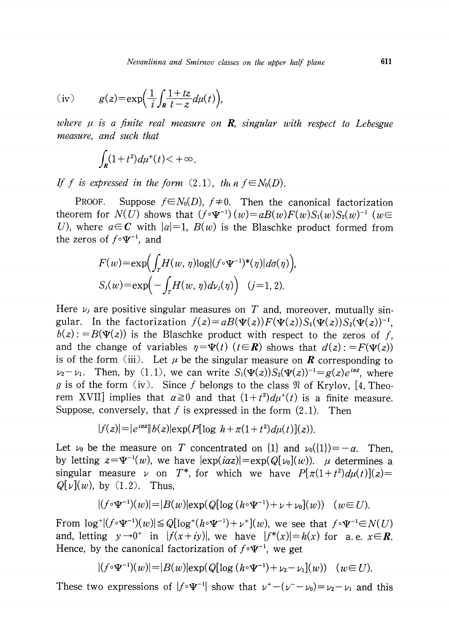(iv) 
$$
g(z) = \exp\left(\frac{1}{i} \int_{R} \frac{1+tz}{t-z} d\mu(t)\right),
$$

where  $\mu$  is a finite real measure on **R**, singular with respect to Lebesgue measure, and such that

$$
\int_{R} (1+t^2) d\mu^+(t) < +\infty.
$$

If f is expressed in the form  $(2.1)$ , then  $f \in N_{0}(D)$ .

PROOF. Suppose  $f\in N_{0}(D)$ ,  $f\neq 0$ . Then the canonical factorization theorem for  $N(U)$  shows that  $(f\circ\Psi^{-1})(w)=aB(w)F(w)S_{1}(w)S_{2}(w)^{-1}(w\in$ U), where  $a \in \mathbb{C}$  with  $|a|=1$ ,  $B(w)$  is the Blaschke product formed from the zeros of  $f\circ\Psi^{-1}$ , and

$$
F(w) = \exp\left(\int_T H(w, \eta) \log |(f \circ \Psi^{-1})^*(\eta)| d\sigma(\eta)\right),
$$
  
\n
$$
S_j(w) = \exp\left(-\int_T H(w, \eta) d\nu_j(\eta)\right) \quad (j=1, 2).
$$

Here  $\nu_{j}$  are positive singular measures on T and, moreover, mutually singular. In the factorization  $f(z)=aB(\Psi(z))F(\Psi(z))S_{1}(\Psi(z))S_{2}(\Psi(z))^{-1}$ .  $b(z)$ : =  $B(\Psi(z))$  is the Blaschke product with respect to the zeros of f, and the change of variables  $\eta=\Psi(t)$  ( $t\in R$ ) shows that  $d(z):=F(\Psi(z))$ is of the form (iii). Let  $\mu$  be the singular measure on **R** corresponding to  $\nu_{2}-\nu_{1}$ . Then, by (1.1), we can write  $S_{1}(\Psi(z))S_{2}(\Psi(z))^{-1}=g(z)e^{iaz}$ , where g is of the form (iv). Since f belongs to the class  $\mathfrak{R}$  of Krylov, [4, Theorem XVII] implies that  $\alpha\geq 0$  and that  $(1+t^{2})d\mu^{+}(t)$  is a finite measure. Suppose, conversely, that  $f$  is expressed in the form  $(2.1)$ . Then

$$
|f(z)| = |e^{iaz}||b(z)| \exp(P[\log h + \pi(1+t^2)d\mu(t)](z)).
$$

Let  $\nu_{0}$  be the measure on  $T$  concentrated on  $\{1\}$  and  $\nu_{0}(\{1\})=-\alpha$ . Then, by letting  $z{=}\Psi^{-1}(w)$ , we have  $|\exp(i\alpha z)|{=}\exp(Q[\,\nu_{0}](w))$ .  $\mu$  determines a singular measure  $\nu$  on  $T^{*}$ , for which we have  $P[\pi(1+t^{2})d\mu(t)](z)=$  $Q[\nu](w)$ , by  $(1.2)$ . Thus,

$$
|(f \circ \Psi^{-1})(w)| = |B(w)| \exp(Q[\log (h \circ \Psi^{-1}) + \nu + \nu_0](w)) \quad (w \in U).
$$

From  $\log^{+}|(f\circ\Psi^{-1})(w)| \leq Q[\log^{+}(h\circ\Psi^{-1})+\nu^{+}](w)$ , we see that  $f\circ\Psi^{-1}\in N(U)$ and, letting  $y \rightarrow 0^{+}$  in  $|f(x+iy)|$ , we have  $|f^{*}(x)|=h(x)$  for a e.  $x\in \mathbb{R}$ . Hence, by the canonical factorization of  $f\circ\Psi^{-1}$ , we get

$$
|(f \circ \Psi^{-1})(w)| = |B(w)| \exp(Q[\log (h \circ \Psi^{-1}) + \nu_2 - \nu_1](w)) \quad (w \in U).
$$

These two expressions of  $|f\circ\Psi^{-1}|$  show that  $\nu^{+}-(\nu^{-}-\nu_{0})=\nu_{2}-\nu_{1}$  and this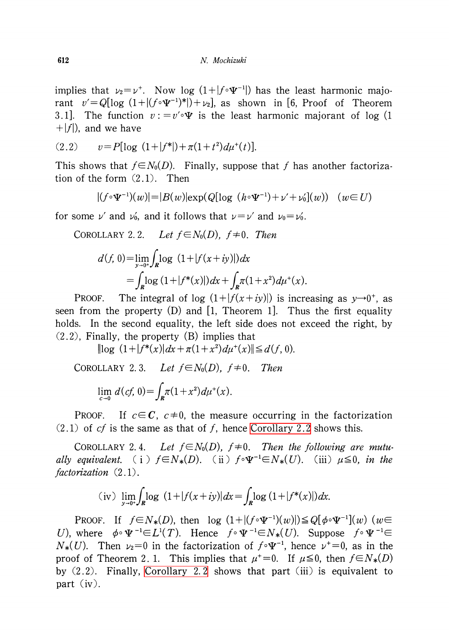implies that  $\nu_{2}=\nu^{+}$ . Now log  $(1+|f\circ\Psi^{-1}|)$  has the least harmonic majorant  $v' = Q[\log(1+|(f\circ\Psi^{-1})^{*}|)+v_{2}]$  as shown in [6, Proof of Theorem 3.1]. The function  $v := v' \circ \Psi$  is the least harmonic majorant of log (1)  $+|f|$ ), and we have

$$
(2.2) \t v = P[\log (1+|f^*|) + \pi (1+t^2) d\mu^+(t)].
$$

This shows that  $f \in N_{0}(D)$ . Finally, suppose that f has another factorization of the form (2.1). Then

$$
|(f \circ \Psi^{-1})(w)| = |B(w)| \exp(Q[\log (h \circ \Psi^{-1}) + \nu' + \nu_0](w)) \quad (w \in U)
$$

for some  $\nu'$  and  $\nu_{0}$ , and it follows that  $\nu=\nu'$  and  $\nu_{0}=\nu'_{0}$ .

<span id="page-3-0"></span>COROLLARY 2.2. Let  $f\!\in\! N_{0}(D)$ ,  $f\!\neq\! 0$ . Then

$$
d(f, 0) = \lim_{y \to 0^+} \int_{R} \log (1 + |f(x + iy)|) dx
$$
  
= 
$$
\int_{R} \log (1 + |f^*(x)|) dx + \int_{R} \pi (1 + x^2) d\mu^+(x).
$$

PROOF. The integral of log  $(1+|f(x+iy)|)$  is increasing as  $y\rightarrow 0^{+}$ , as seen from the property (D) and [1, Theorem 1]. Thus the first equality holds. In the second equality, the left side does not exceed the right, by (2.2), Finally, the property (B) implies that

 $\|\log(1+|f^{*}(x)|dx+\pi(1+x^{2})d\mu^{+}(x)\|\leq d(f, 0)$ .

<span id="page-3-2"></span>COROLLARY 2.3. Let  $f\text{\ensuremath{\in}} N_{0}(D)$ ,  $f\text{\ensuremath{\neq}} 0$ . Then  $\lim_{\alpha\to 0}d(cf, 0) = \int \pi(1+x^{2})d\mu^{+}(x).$ 

PROOF. If  $c\!\in\!\mathcal C$ ,  $c\!\neq\! 0$ , the measure occurring in the factorization  $(2.1)$  of *cf* is the same as that of *f*, hence [Corollary](#page-3-0) 2.2 shows this.

<span id="page-3-1"></span>COROLLARY 2.4. Let  $f\in N_0(D)$ ,  $f\neq 0$ . Then the following are mutually equivalent. ( i )  $f\in N_{*}(D)$ . (ii )  $f\circ\Psi^{-1}\in N_{*}(U)$ . (iii)  $\mu\leq 0$ , in the factorization  $(2.1)$ .

(iv) 
$$
\lim_{y \to 0^+} \int_{R} \log (1 + |f(x + iy)|) dx = \int_{R} \log (1 + |f^{*}(x)|) dx.
$$

PROOF. If  $f\in N_{*}(D)$ , then log  $(1+|(f\circ\Psi^{-1})(w)|)\leq Q[\phi\circ\Psi^{-1}](w)(w)\in$ U), where  $\phi\circ\Psi^{-1}\!\!\in\! L^{1}(T)$ . Hence  $f\circ\Psi^{-1}\!\!\in\! N_{*}(U)$ . Suppose  $f\circ\Psi^{-1}\!\!\in$  $N_{*}(U)$ . Then  $\nu_{2}=0$  in the factorization of  $f\circ\Psi^{-1}$ , hence  $\nu^{+}=0$ , as in the proof of Theorem 2.1. This implies that  $\mu^{+}=0$ . If  $\mu\leq 0$ , then  $f\in N_{*}(D)$ by  $(2.2)$ . Finally, [Corollary](#page-3-0) 2.2 shows that part  $(iii)$  is equivalent to part (iv).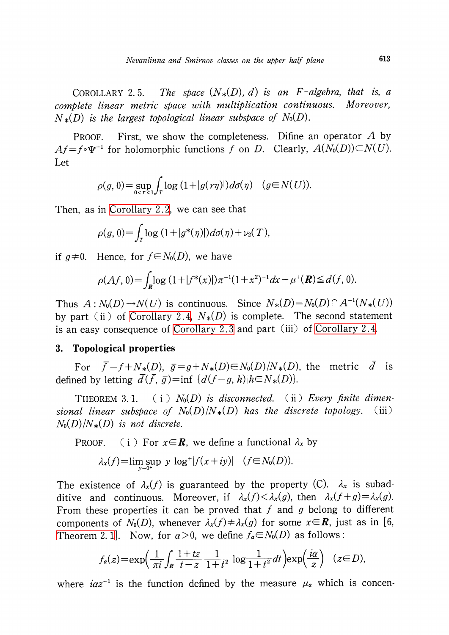<span id="page-4-0"></span>COROLLARY 2.5. The space  $(N_{*}(D), d)$  is an F-algebra, that is, a complete linear metric space with multiplication continuous. Moreover,  $N_{*}(D)$  is the largest topological linear subspace of  $N_{0}(D)$ .

PROOF. First, we show the completeness. Difine an operator  $A$  by  $Af=f\circ\Psi^{-1}$  for holomorphic functions f on D. Clearly,  $A(N_{0}(D))\subset N(U)$ . Let

$$
\rho(g, 0) = \sup_{0 < r < 1} \int_T \log\left(1 + |g(r\eta)|\right) d\sigma(\eta) \quad (g \in N(U)).
$$

Then, as in [Corollary](#page-3-0) 2.2, we can see that

$$
\rho(g, 0) = \int_T \log\left(1+|g^*(\eta)|\right) d\sigma(\eta) + \nu_2(T),
$$

if  $g\neq 0$ . Hence, for  $f\in N_{0}(D)$ , we have

$$
\rho(Af, 0) = \int_{\mathbf{R}} \log (1 + |f^*(x)|) \pi^{-1} (1 + x^2)^{-1} dx + \mu^+(\mathbf{R}) \le d(f, 0).
$$

Thus  $A: N_{0}(D) \rightarrow N(U)$  is continuous. Since  $N_{*}(D) = N_{0}(D) \cap A^{-1}(N_{*}(U))$ by part (ii) of [Corollary](#page-3-1) 2.4,  $N_{*}(D)$  is complete. The second statement is an easy consequence of [Corollary](#page-3-2) 2.3 and part (iii) of [Corollary](#page-3-1) 2.4.

#### 3. Topological properties

For  $\overline{f}=f+N_{*}(D),\ \overline{g}=g+N_{*}(D)\in N_{0}(D)/N_{*}(D)$ , the metric  $\overline{d}$  is defined by letting  $\overline{d}(\overline{f},\overline{g})=\inf\{d(f-g, h)|h\in N_{*}(D)\}.$ 

THEOREM 3.1. (i)  $N_{0}(D)$  is disconnected. (ii) Every finite dimensional linear subspace of  $N_{0}(D)/N_{*}(D)$  has the discrete topology. (iii)  $N_{0}(D)/N_{*}(D)$  is not discrete.

PROOF. (i) For  $x\in \mathbf{R}$ , we define a functional  $\lambda_{x}$  by

$$
\lambda_x(f) = \limsup y \log^+ |f(x+iy)| \quad (f \in N_0(D)).
$$

The existence of  $\lambda_{x}(f)$  is guaranteed by the property (C).  $\lambda_{x}$  is subadditive and continuous. Moreover, if  $\lambda_{x}(f) < \lambda_{x}(g)$ , then  $\lambda_{x}(f+g) = \lambda_{x}(g)$ . From these properties it can be proved that f and g belong to different components of  $N_{0}(D)$ , whenever  $\lambda_{x}(f)\neq\lambda_{x}(g)$  for some  $x\in\mathbb{R}$ , just as in [6, [Theorem](#page-1-0) 2.1]. Now, for  $\alpha>0$ , we define  $f_{\alpha} \in N_{0}(D)$  as follows:

$$
f_{\alpha}(z) = \exp\left(\frac{1}{\pi i} \int_{R} \frac{1+tz}{t-z} \frac{1}{1+t^2} \log \frac{1}{1+t^2} dt\right) \exp\left(\frac{ia}{z}\right) \quad (z \in D),
$$

where  $i\alpha z^{-1}$  is the function defined by the measure  $\mu_{\alpha}$  which is concen-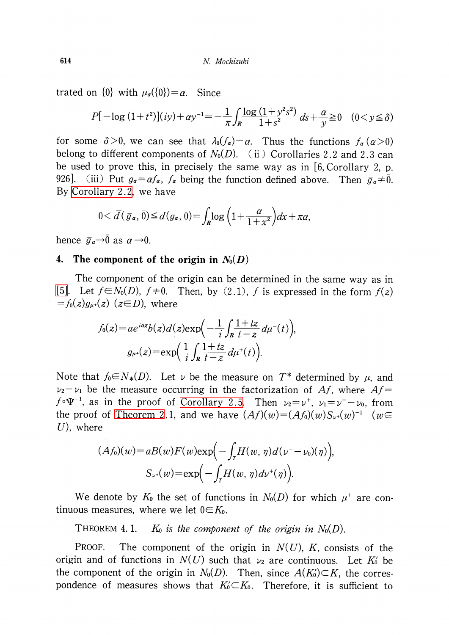trated on  $\{0\}$  with  $\mu_{\alpha}(\{0\})=\alpha$ . Since

$$
P[-\log(1+t^2)](iy) + \alpha y^{-1} = -\frac{1}{\pi} \int_R \frac{\log(1+y^2s^2)}{1+s^2} \, ds + \frac{\alpha}{y} \ge 0 \quad (0 < y \le \delta)
$$

for some  $\delta>0$ , we can see that  $\lambda_{0}(f_{\alpha})=\alpha$ . Thus the functions  $f_{\alpha}(\alpha>0)$ belong to different components of  $N_{0}(D)$ . (ii) Corollaries 2.2 and 2.3 can be used to prove this, in precisely the same way as in [6, Corollary 2, p. 926]. (iii) Put  $g_{\alpha} = af_{\alpha}$ ,  $f_{\alpha}$  being the function defined above. Then  $\overline{g}_{\alpha} \neq \overline{0}$ . By [Corollary](#page-3-0) 2.2, we have

$$
0 < \overline{d}(\overline{g}_\alpha, \overline{0}) \leq d(g_\alpha, 0) = \int_{R} \log \left(1 + \frac{\alpha}{1 + x^2}\right) dx + \pi \alpha,
$$

hence  $\overline{g}_{a}\rightarrow\overline{0}$  as  $\alpha\rightarrow 0$ .

#### 4. The component of the origin in  $N_{0}(D)$

The component of the origin can be determined in the same way as in [\[5\].](#page-11-2) Let  $f\in N_{0}(D)$ ,  $f\neq 0$ . Then, by (2.1), f is expressed in the form  $f(z)$  $=f_{0}(z)g_{\mu+}(z)(z\in D)$ , where

$$
f_0(z) = ae^{iaz}b(z)d(z)exp\left(-\frac{1}{i}\int_R \frac{1+tz}{t-z}d\mu^{-}(t)\right),
$$

$$
g_{\mu^{+}}(z) = exp\left(\frac{1}{i}\int_R \frac{1+tz}{t-z}d\mu^{+}(t)\right).
$$

Note that  $f_{0}{\in}N_{*}(D).$  Let  $\nu$  be the measure on  $T^{*}$  determined by  $\mu,$  and  $\nu_{2}-\nu_{1}$  be the measure occurring in the factorization of Af, where Af=  $f\circ\Psi^{-1}$ , as in the proof of [Corollary](#page-4-0) 2.5. Then  $\nu_{2}=\nu^{+}$ ,  $\nu_{1}=\nu^{-}-\nu_{0}$ , from the proof of [Theorem](#page-1-0) 2.1, and we have  $(Af)(w)=(Af_{0})(w)S_{\nu^{+}}(w)^{-1}$  (we U), where

$$
(Af_0)(w) = aB(w)F(w) \exp\left(-\int_T H(w, \eta) d(\nu - \nu_0)(\eta)\right),
$$

$$
S_{\nu}(w) = \exp\left(-\int_T H(w, \eta) d\nu^+(\eta)\right).
$$

We denote by  $K_{0}$  the set of functions in  $N_{0}(D)$  for which  $\mu^{+}$  are continuous measures, where we let  $0{\in} K_{0}.$ 

THEOREM 4.1.  $K_{0}$  is the component of the origin in  $N_{0}(D)$ .

PROOF. The component of the origin in  $N(U)$ , K, consists of the origin and of functions in  $N(U)$  such that  $\nu_{2}$  are continuous. Let K<sub>0</sub><sup>'</sup> be the component of the origin in  $N_{0}(D)$ . Then, since  $A(K_{0})\subset K$ , the correspondence of measures shows that  $K_{0}^{\prime}\subset K_{0}.$  Therefore, it is sufficient to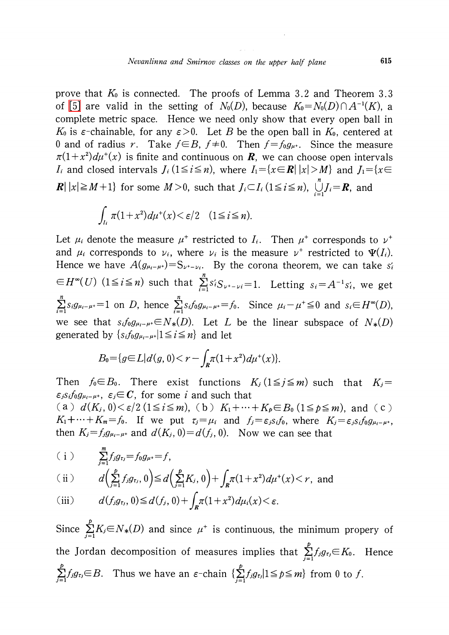prove that  $K_{0}$  is connected. The proofs of Lemma 3.2 and Theorem 3.3 of [\[5\]](#page-11-2) are valid in the setting of  $N_{0}(D)$ , because  $K_{0}=N_{0}(D)\cap A^{-1}(K)$ , a complete metric space. Hence we need only show that every open ball in  $K_{0}$  is  $\varepsilon$ -chainable, for any  $\varepsilon>0$ . Let  $B$  be the open ball in  $K_{0}$ , centered at 0 and of radius r. Take  $f \in B$ ,  $f \neq 0$ . Then  $f=f_{0}g_{\mu+}$ . Since the measure  $\pi(1+x^{2})d\mu^{+}(x)$  is finite and continuous on **R**, we can choose open intervals  $I_{i}$  and closed intervals  $J_{i}$   $(1\!\leq\! i\!\leq\! n)$ , where  $I_{1}\!\!=\!\{x\!\in\! \boldsymbol{R}|\ |x|\!>\!M\}$  and  $J_{1}\!\!=\!\{x\!\in\!$  $\mathbf{R}|\left|x\right| \geq M+1\}$  for some  $M>0$ , such that  $J_{i} \subset I_{i}$  (1 $\leq i\leq n$ ),  $\bigcup_{i=1}^{n}J_{i}=R$ , and

$$
\int_{I_i} \pi (1+x^2) d\mu^+(x) < \varepsilon/2 \quad (1 \le i \le n).
$$

Let  $\mu_{i}$  denote the measure  $\mu^{+}$  restricted to  $I_{i}$ . Then  $\mu^{+}$  corresponds to  $\nu^{+}$ and  $\mu_{i}$  corresponds to  $\nu_{i}$ , where  $\nu_{i}$  is the measure  $\nu^{+}$  restricted to  $\mathbf{\Psi}(I_{i})$ . Hence we have  $A(g_{\mu_{i}-\mu^*})=S_{\nu^+-\nu_i}$ . By the corona theorem, we can take  $s_{i}$  $\in H^{\infty}(U)$   $(1\leq i\leq n)$  such that  $\sum_{i=1}^{n}s_{i}S_{\nu^{*}-\nu i}=1$ . Letting  $s_{i}=A^{-1}s_{i}$ , we get  $\sum_{i} s_{i}g_{\mu_{i}-\mu+}=1$  on D, hence  $\sum_{i} s_{i}f_{0}g_{\mu_{i}-\mu}=\int_{0}$ . Since  $\mu_{i}-\mu^{+}\leq 0$  and  $s_{i}\in H^{\infty}(D)$ , we see that  $s_i f_0 g_{\mu_i-\mu^+} \in N_{*}(D)$ . Let L be the linear subspace of  $N_{*}(D)$ generated by  $\{s_{i}f_{0}g_{\mu_{i}-\mu+}|1\leq i\leq n\}$  and let

$$
B_0 = \{ g \in L | d(g, 0) < r - \int_R \pi (1 + x^2) d\mu^+(x) \}.
$$

Then  $f_{0} \in B_{0}$ . There exist functions  $K_{j}(1 \leq j \leq m)$  such that  $K_{j}=$  $\varepsilon_{j} s_{i}f_{0}g_{\mu_{i}-\mu^+}, \ \varepsilon_{j}\mathfrak{\in} C,$  for some  $i$  and such that (a)  $d(K_{j}, 0)<\varepsilon/2$  ( $1\leq i\leq m$ ), (b)  $K_{1}+\cdots+K_{p}\in B_{0}$  ( $1\leq p\leq m$ ), and (c)  $K_{1}+\cdots+K_{m}=f_{0}$ . If we put  $\tau_{j}=\mu_{i}$  and  $f_{j}=\varepsilon_{j}s_{i}f_{0}$ , where  $K_{j}=\varepsilon_{j}s_{i}f_{0}g_{\mu_{i}-\mu+}$ , then  $K_{j}=f_{j}g_{\mu_{i}-\mu+}$  and  $d(K_{j}, 0)=d(f_{j}, 0)$ . Now we can see that

$$
(i)
$$
  $\sum_{j=1}^{m} f_j g_{r_j} = f_0 g_{\mu^+} = f$ ,

(i) 
$$
d\left(\sum_{j=1}^p f_j g_{\tau_j}, 0\right) \le d\left(\sum_{j=1}^p K_j, 0\right) + \int_R \pi (1+x^2) d\mu^+(x) < r
$$
, and

(iii) 
$$
d(f_j g_{\tau_j}, 0) \leq d(f_j, 0) + \int_R \pi (1 + x^2) d\mu_i(x) < \varepsilon.
$$

Since  $\sum_{i=1}^{p}K_{i}\in N_{*}(D)$  and since  $\mu^{+}$  is continuous, the minimum propery of the Jordan decomposition of measures implies that  $\sum_{j}f_{j}g_{\tau_{j}}{\in}K_{0}$ . Hence  $\sum_{j=1}^{p}f_{j}g_{\tau_{j}}\in B$ . Thus we have an  $\varepsilon$ -chain  $\{\sum_{j=1}^{p}f_{j}g_{\tau_{j}}|1\leq p\leq m\}$  from 0 to f.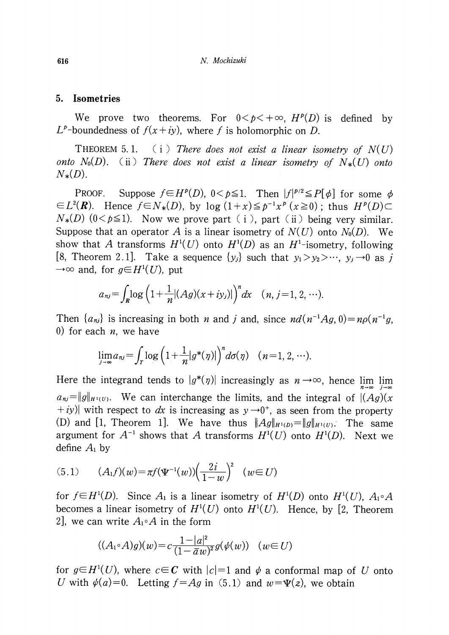## 5. Isometries

We prove two theorems. For  $0 \lt p \lt +\infty$ ,  $H^{p}(D)$  is defined by  $L^{p}$ -boundedness of  $f(x+iy)$ , where f is holomorphic on D.

<span id="page-7-0"></span>THEOREM 5.1.  $(i)$  There does not exist a linear isometry of  $N(U)$ onto N<sub>0</sub>(D). (ii) There does not exist a linear isometry of  $N_{*}(U)$  onto  $N_{*}(D)$ .

PROOF. Suppose  $f\in H^{p}(D)$ ,  $0<\rho\leq 1$ . Then  $|f|^{p/2}\leq P[\phi]$  for some  $\phi$  $\in L^{2}(\mathbf{R})$ . Hence  $f\in N_{*}(D)$ , by log  $(1+x)\leq p^{-1}x^{p}(x\geq 0)$ ; thus  $H^{p}(D)\subset$  $N_{*}(D)$  (0<p\leq 1). Now we prove part ( i ), part ( ii ) being very similar. Suppose that an operator A is a linear isometry of  $N(U)$  onto  $N_{0}(D)$ . We show that A transforms  $H^{1}(U)$  onto  $H^{1}(D)$  as an  $H^{1}_{-}$  isometry, following [8, Theorem 2.1]. Take a sequence  $\{y_{j}\}$  such that  $y_{1}>y_{2}>\cdots$ ,  $y_{j}\rightarrow 0$  as j  $\rightarrow \infty$  and, for  $g\in H^{1}(U)$ , put

$$
a_{nj} = \int_{R} \log \left( 1 + \frac{1}{n} |(Ag)(x + iy_{j})| \right)^{n} dx \quad (n, j = 1, 2, \cdots).
$$

Then  $\{a_{nj}\}$  is increasing in both n and j and, since  $nd(n^{-1}Ag, 0)=n\rho(n^{-1}g, 0)$ 0) for each  $n$ , we have

$$
\lim_{j\to\infty} a_{nj} = \int_T \log\left(1+\frac{1}{n}|g^*(\eta)|\right)^n d\sigma(\eta) \quad (n=1, 2, \cdots).
$$

Here the integrand tends to  $|g^{*}(\eta)|$  increasingly as  $n\rightarrow\infty$ , hence  $\lim_{\eta\rightarrow\infty}$  $a_{nj}$ = $\|g\|_{H^{1}(U)}$ . We can interchange the limits, and the integral of  $|(Ag)(x)$  $+iy$ ) with respect to dx is increasing as  $y\rightarrow 0^{+}$ , as seen from the property (D) and [1, Theorem 1]. We have thus  $\|Ag\|_{H^{1}(D)}=\|g\|_{H^{1}(U)}$ . The same argument for  $A^{-1}$  shows that A transforms  $H^{1}(U)$  onto  $H^{1}(D)$ . Next we define  $A_{1}$  by

(5.1) 
$$
(A_1 f)(w) = \pi f(\Psi^{-1}(w)) \left(\frac{2i}{1-w}\right)^2 \quad (w \in U)
$$

for  $f\in H^{1}(D)$ . Since  $A_{1}$  is a linear isometry of  $H^{1}(D)$  onto  $H^{1}(U)$ ,  $A_{1}\circ A$ becomes a linear isometry of  $H^{1}(U)$  onto  $H^{1}(U)$ . Hence, by [2, Theorem 2, we can write  $A_{1} \circ A$  in the form

$$
((A_1 \circ A)g)(w) = c \frac{1-|a|^2}{(1-\overline{a}w)^2} g(\psi(w)) \quad (w \in U)
$$

for  $g\in H^{1}(U)$ , where  $c\in \mathbb{C}$  with  $|c|=1$  and  $\psi$  a conformal map of U onto U with  $\psi(a)=0$ . Letting  $f=Ag$  in (5.1) and  $w=\Psi(z)$ , we obtain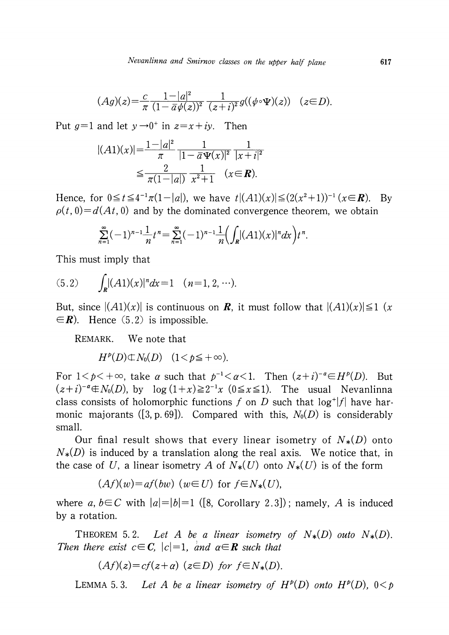$$
(Ag)(z) = \frac{c}{\pi} \frac{1-|a|^2}{(1-\bar{a}\psi(z))^2} \frac{1}{(z+i)^2} g((\psi \circ \Psi)(z)) \quad (z \in D).
$$

Put  $g=1$  and let  $y\rightarrow 0^{+}$  in  $z=x+iy$ . Then

$$
|(A1)(x)| = \frac{1-|a|^2}{\pi} \frac{1}{|1-\bar{a}\Psi(x)|^2} \frac{1}{|x+i|^2}
$$
  

$$
\leq \frac{2}{\pi(1-|a|)} \frac{1}{x^2+1} \quad (x \in \mathbb{R}).
$$

Hence, for  $0 \leq t \leq 4^{-1}\pi(1-|a|)$ , we have  $t|(A1)(x)| \leq (2(x^{2}+1))^{-1}(x\in R)$ . By  $\rho(t, 0)=d(At, 0)$  and by the dominated convergence theorem, we obtain

$$
\sum_{n=1}^{\infty}(-1)^{n-1}\frac{1}{n}t^{n}=\sum_{n=1}^{\infty}(-1)^{n-1}\frac{1}{n}\left(\int_{R} |(A1)(x)|^{n}dx\right)t^{n}.
$$

This must imply that

$$
(5.2) \qquad \int_{\mathbb{R}} |(A1)(x)|^n dx = 1 \quad (n=1, 2, \cdots).
$$

But, since  $|(A1)(x)|$  is continuous on **R**, it must follow that  $|(A1)(x)| \leq 1$  (x  $\in \mathbb{R}$ . Hence (5.2) is impossible.

REMARK. We note that

 $H^{p}(D) \oplus N_{0}(D)$   $(1 < p \leq +\infty)$ .

For  $1<\rho<+\infty,$  take  $\alpha$  such that  $p^{-1}<\alpha <1.$  Then  $(z+i)^{-\alpha}\!\in\!H^{p}(D).$  But  $(z+i)^{-a}\text{\textnormal{\texttt{d}}} x(D)$ , by  $\log\ (1+x){\geq}2^{-1}x\ (0{\leq} x{\leq} 1).$  The usual Nevanlinna class consists of holomorphic functions f on D such that  $\log^{+}|f|$  have harmonic majorants ([3, p. 69]). Compared with this,  $N_{0}(D)$  is considerably small.

Our final result shows that every linear isometry of  $N_{*}(D)$  onto  $N_{*}(D)$  is induced by a translation along the real axis. We notice that, in the case of U, a linear isometry A of  $N_{*}(U)$  onto  $N_{*}(U)$  is of the form

$$
(Af)(w) = af(bw) \ (w \in U) \text{ for } f \in N_*(U),
$$

where a,  $b\in C$  with  $|a|=|b|=1$  ([8, Corollary 2.3]); namely, A is induced by a rotation.

THEOREM 5.2. Let A be a linear isometry of  $N_{*}(D)$  outo  $N_{*}(D)$ . Then there exist  $c\in C$ ,  $|c|=1$ , and  $a\in R$  such that

$$
(Af)(z)=cf(z+a) \ (z\in D) \ \text{for} \ f\in N_*(D).
$$

LEMMA 5.3. Let A be a linear isometry of  $H^{p}(D)$  onto  $H^{p}(D)$ ,  $0 < p$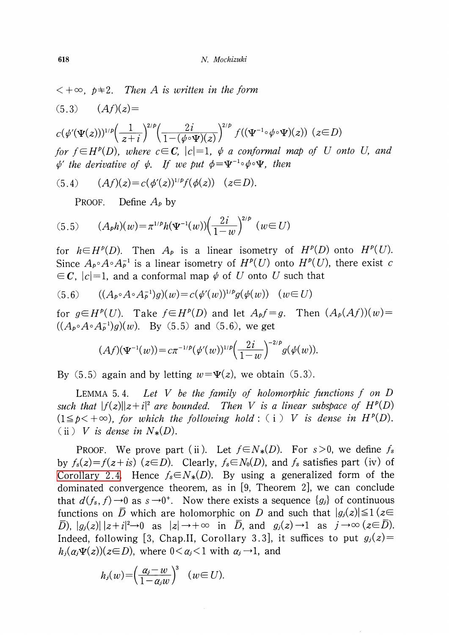$c(\psi'(\Psi(z)))^{1/p}\left(\frac{1}{z+i}\right)^{2/p}\left(\frac{2i}{1-(\phi\circ\Psi)(z)}\right)^{2/p}f((\Psi^{-1}\circ\psi\circ\Psi)(z))\;\;(z\in D)$ for  $f\in H^{p}(D)$ , where  $c\in C,$   $|c|=1,$   $\psi$  a conformal map of U onto U, and  $\phi'$  the derivative of  $\phi$ . If we put  $\phi=\Psi^{-1}\circ\phi\circ\Psi$ , then

$$
(5.4) \qquad (Af)(z) = c(\phi'(z))^{1/p} f(\phi(z)) \quad (z \in D).
$$

PROOF. Define  $A_{p}$  by

(5.5) 
$$
(A_{p}h)(w) = \pi^{1/p}h(\Psi^{-1}(w))\left(\frac{2i}{1-w}\right)^{2/p} (w \in U)
$$

for  $h\in H^{p}(D)$ . Then  $A_{p}$  is a linear isometry of  $H^{p}(D)$  onto  $H^{p}(U)$ . Since  $A_{p} \circ A \circ A_{p}^{-1}$  is a linear isometry of  $H^{p}(U)$  onto  $H^{p}(U)$ , there exist c  $\in \mathcal{C}$ ,  $|c|=1$ , and a conformal map  $\psi$  of U onto U such that

$$
(5.6) \qquad ((A_{p} \circ A \circ A_{p}^{-1})g)(w) = c(\psi'(w))^{1/p}g(\psi(w)) \quad (w \in U)
$$

for  $g\in H^{p}(U)$ . Take  $f\in H^{p}(D)$  and let  $A_{p}f=g$ . Then  $(A_{p}(Af))(w)=$  $((A_{p}\circ A\circ A_{p}^{-1})g)(w)$ . By (5.5) and (5.6), we get

$$
(Af)(\Psi^{-1}(w)) = c\pi^{-1/p}(\psi'(w))^{1/p} \left(\frac{2i}{1-w}\right)^{-2/p} g(\psi(w)).
$$

By (5.5) again and by letting  $w=\Psi(z)$ , we obtain (5.3).

LEMMA 5.4. Let V be the family of holomorphic functions f on D such that  $|f(z)||z+i|^{2}$  are bounded. Then V is a linear subspace of  $H^{p}(D)$  $(1 \leq p < +\infty)$ , for which the following hold: (i) V is dense in  $H^{p}(D)$ . (ii) V is dense in  $N_{*}(D)$ .

PROOF. We prove part (ii). Let  $f\in N_{*}(D)$ . For s>0, we define  $f_{s}$ by  $f_{s}(z)=f(z+i s)(z\in D)$ . Clearly,  $f_{s}\in N_{0}(D)$ , and  $f_{s}$  satisfies part (iv) of [Corollary](#page-3-1) 2.4. Hence  $f_{s} \in N_{*}(D)$ . By using a generalized form of the dominated convergence theorem, as in [9, Theorem 2], we can conclude that  $d(f_s, f) \rightarrow 0$  as  $s \rightarrow 0^{+}$ . Now there exists a sequence  $\{g_i\}$  of continuous functions on  $\overline{D}$  which are holomorphic on D and such that  $|g_{j}(z)| \leq 1$  ( $z\in$  $\overline{D}$ ,  $|g_{j}(z)||z+i|^{2}\rightarrow 0$  as  $|z|\rightarrow+\infty$  in  $\overline{D}$ , and  $g_{j}(z)\rightarrow 1$  as  $j\rightarrow\infty$  ( $z\in D$ ). Indeed, following [3, Chap.II, Corollary 3.3], it suffices to put  $g_{j}(z)=$  $h_{j}(\alpha_{j}\Psi(z))(z\!\in\!D)$ , where  $0\!<\!\alpha_{j}\!<\!1$  with  $\alpha_{j}\!\rightarrow\! 1$ , and

$$
h_j(w) = \left(\frac{\alpha_j - w}{1 - \alpha_j w}\right)^3 \quad (w \in U).
$$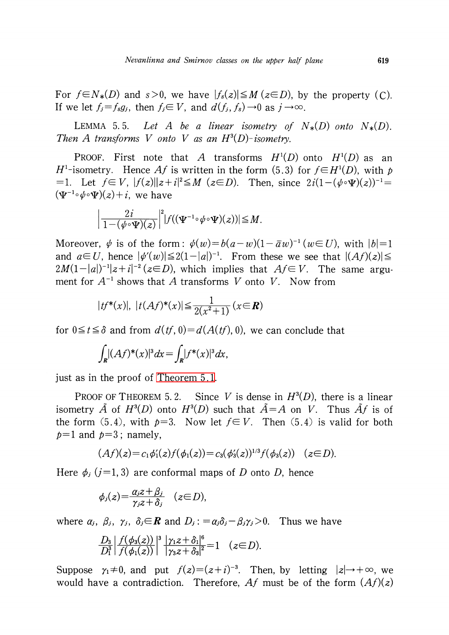For  $f\in N_{*}(D)$  and  $s>0$ , we have  $|f_{s}(z)|\leq M(z\in D)$ , by the property (C). If we let  $f_{j}=f_{s}g_{j}$ , then  $f_{j}\in V$ , and  $d(f_{j}, f_{s}) \rightarrow 0$  as  $j\rightarrow\infty$ .

LEMMA 5.5. Let A be a linear isometry of  $N_{*}(D)$  onto  $N_{*}(D)$ . Then A transforms V onto V as an  $H^{3}(D)$ -isometry.

PROOF. First note that A transforms  $H^{1}(D)$  onto  $H^{1}(D)$  as an  $H^{1}$ -isometry. Hence Af is written in the form (5.3) for  $f\in H^{1}(D)$ , with p =1. Let  $f\in V$ ,  $|f(z)||z+i|^{2}\leq M$  ( $z\in D$ ). Then, since  $2 i(1-(\psi\circ\Psi)(z))^{-1}=$  $(\Psi^{-1}\!\circ\!\psi\!\circ\!\Psi)(z)\!+\!i,\;$  we have

$$
\left|\frac{2i}{1-(\phi\circ\Psi)(z)}\right|^2|f((\Psi^{-1}\circ\phi\circ\Psi)(z))|\leq M.
$$

Moreover,  $\psi$  is of the form:  $\psi(w)=b(a-w)(1-\overline{a}w)^{-1}$  ( $w\in U$ ), with  $|b|=1$ and  $a \in U$ , hence  $|\psi'(w)| \leq 2(1-|a|)^{-1}$ . From these we see that  $|(Af)(z)| \leq$  $2M(1-|a|)^{-1}|z+i|^{-2}$  ( $z\in D$ ), which implies that  $A_f\in V$ . The same argument for  $A^{-1}$  shows that A transforms V onto V. Now from

$$
|tf^*(x)|, |t(Af)^*(x)| \leq \frac{1}{2(x^2+1)} (x \in \mathbb{R})
$$

for  $0\leq t\leq \delta$  and from  $d(t, 0)=d(A(t), 0)$ , we can conclude that

$$
\int_{\mathbf{R}} |(Af)^*(x)|^3 dx = \int_{\mathbf{R}} |f^*(x)|^3 dx,
$$

just as in the proof of [Theorem](#page-7-0) 5.1.

PROOF OF THEOREM 5.2. Since V is dense in  $H^{3}(D)$ , there is a linear isometry  $\tilde{A}$  of  $H^{3}(D)$  onto  $H^{3}(D)$  such that  $\tilde{A}=A$  on V. Thus  $\tilde{A}f$  is of the form (5.4), with  $p=3$ . Now let  $f\in V$ . Then (5.4) is valid for both  $p=1$  and  $p=3$ ; namely,

$$
(Af)(z) = c_1 \phi'_1(z) f(\phi_1(z)) = c_3(\phi'_3(z))^{1/3} f(\phi_3(z)) \quad (z \in D).
$$

Here  $\phi_{j}$  (j=1,3) are conformal maps of D onto D, hence

$$
\phi_j(z) = \frac{\alpha_j z + \beta_j}{\gamma_j z + \delta_j} \quad (z \in D),
$$

where  $\alpha_{j}$ ,  $\beta_{j}$ ,  $\gamma_{j}$ ,  $\delta_{j} \in \mathbb{R}$  and  $D_{j}$  :  $=\alpha_{j}\delta_{j}-\beta_{j}\gamma_{j}>0$ . Thus we have

$$
\frac{D_3}{D_1^3}\left|\frac{f(\phi_3(z))}{f(\phi_1(z))}\right|^3\frac{|\gamma_1z+\delta_1|^6}{|\gamma_3z+\delta_3|^2}=1 \quad (z\in D).
$$

Suppose  $\gamma_{1}\neq 0$ , and put  $f(z)=(z+i)^{-3}$ . Then, by letting  $|z|\rightarrow+\infty$ , we would have a contradiction. Therefore, Af must be of the form  $(Af)(z)$